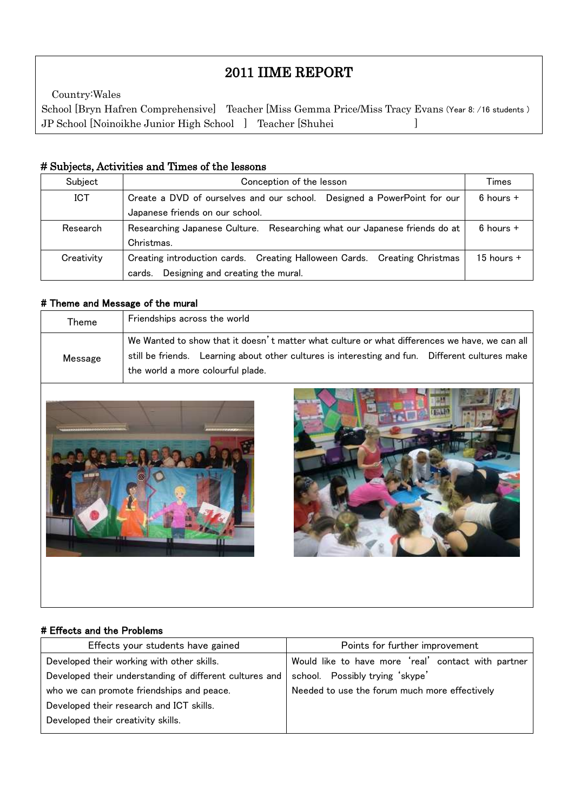# 2011 IIME REPORT

 School [Bryn Hafren Comprehensive] Teacher [Miss Gemma Price/Miss Tracy Evans (Year 8: /16 students ) JP School [Noinoikhe Junior High School ] Teacher [Shuhei ]Country:Wales

## # Subjects, Activities and Times of the lessons

| Subject    | Conception of the lesson                                                  | Times          |  |  |
|------------|---------------------------------------------------------------------------|----------------|--|--|
| <b>ICT</b> | Create a DVD of ourselves and our school. Designed a PowerPoint for our   | $6$ hours $+$  |  |  |
|            | Japanese friends on our school.                                           |                |  |  |
| Research   | Researching Japanese Culture. Researching what our Japanese friends do at | $6$ hours $+$  |  |  |
|            | Christmas.                                                                |                |  |  |
| Creativity | Creating introduction cards. Creating Halloween Cards. Creating Christmas | $15$ hours $+$ |  |  |
|            | Designing and creating the mural.<br>cards.                               |                |  |  |

#### # Theme and Message of the mural

I

| Theme   | Friendships across the world                                                                    |  |  |
|---------|-------------------------------------------------------------------------------------------------|--|--|
| Message | We Wanted to show that it doesn't matter what culture or what differences we have, we can all I |  |  |
|         | still be friends. Learning about other cultures is interesting and fun. Different cultures make |  |  |
|         | the world a more colourful plade.                                                               |  |  |





#### # Effects and the Problems

| Effects your students have gained                       | Points for further improvement                      |  |
|---------------------------------------------------------|-----------------------------------------------------|--|
| Developed their working with other skills.              | Would like to have more 'real' contact with partner |  |
| Developed their understanding of different cultures and | school. Possibly trying 'skype'                     |  |
| who we can promote friendships and peace.               | Needed to use the forum much more effectively       |  |
| Developed their research and ICT skills.                |                                                     |  |
| Developed their creativity skills.                      |                                                     |  |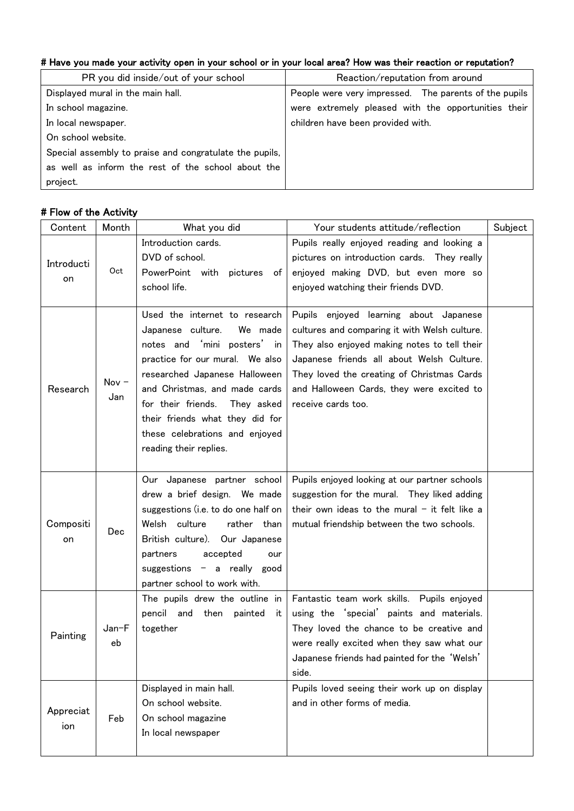# # Have you made your activity open in your school or in your local area? How was their reaction or reputation?

| PR you did inside/out of your school                    | Reaction/reputation from around                       |  |
|---------------------------------------------------------|-------------------------------------------------------|--|
| Displayed mural in the main hall.                       | People were very impressed. The parents of the pupils |  |
| In school magazine.                                     | were extremely pleased with the opportunities their   |  |
| In local newspaper.                                     | children have been provided with.                     |  |
| On school website.                                      |                                                       |  |
| Special assembly to praise and congratulate the pupils, |                                                       |  |
| as well as inform the rest of the school about the      |                                                       |  |
| project.                                                |                                                       |  |

# # Flow of the Activity

| Content          | Month          | What you did                                                                                                                                                                                                                                                                                                                         | Your students attitude/reflection                                                                                                                                                                                                                                                                     | Subject |
|------------------|----------------|--------------------------------------------------------------------------------------------------------------------------------------------------------------------------------------------------------------------------------------------------------------------------------------------------------------------------------------|-------------------------------------------------------------------------------------------------------------------------------------------------------------------------------------------------------------------------------------------------------------------------------------------------------|---------|
| Introducti<br>on | Oct            | Introduction cards.<br>DVD of school.<br>PowerPoint with pictures<br>ot<br>school life.                                                                                                                                                                                                                                              | Pupils really enjoyed reading and looking a<br>pictures on introduction cards. They really<br>enjoyed making DVD, but even more so<br>enjoyed watching their friends DVD.                                                                                                                             |         |
| Research         | Nov $-$<br>Jan | Used the internet to research<br>Japanese culture.<br>We made<br>notes and 'mini posters' in<br>practice for our mural. We also<br>researched Japanese Halloween<br>and Christmas, and made cards<br>for their friends.<br>They asked<br>their friends what they did for<br>these celebrations and enjoyed<br>reading their replies. | Pupils enjoyed learning about Japanese<br>cultures and comparing it with Welsh culture.<br>They also enjoyed making notes to tell their<br>Japanese friends all about Welsh Culture.<br>They loved the creating of Christmas Cards<br>and Halloween Cards, they were excited to<br>receive cards too. |         |
| Compositi<br>on  | Dec            | Our Japanese partner school<br>drew a brief design. We made<br>suggestions (i.e. to do one half on<br>culture<br>Welsh<br>rather than<br>British culture). Our Japanese<br>accepted<br>partners<br>our<br>suggestions $-$ a really good<br>partner school to work with.                                                              | Pupils enjoyed looking at our partner schools<br>suggestion for the mural. They liked adding<br>their own ideas to the mural $-$ it felt like a<br>mutual friendship between the two schools.                                                                                                         |         |
| Painting         | Jan-F<br>eb    | The pupils drew the outline in<br>then<br>pencil and<br>painted<br>it.<br>together                                                                                                                                                                                                                                                   | Fantastic team work skills. Pupils enjoyed<br>using the 'special' paints and materials.<br>They loved the chance to be creative and<br>were really excited when they saw what our<br>Japanese friends had painted for the 'Welsh'<br>side.                                                            |         |
| Appreciat<br>ion | Feb            | Displayed in main hall.<br>On school website.<br>On school magazine<br>In local newspaper                                                                                                                                                                                                                                            | Pupils loved seeing their work up on display<br>and in other forms of media.                                                                                                                                                                                                                          |         |